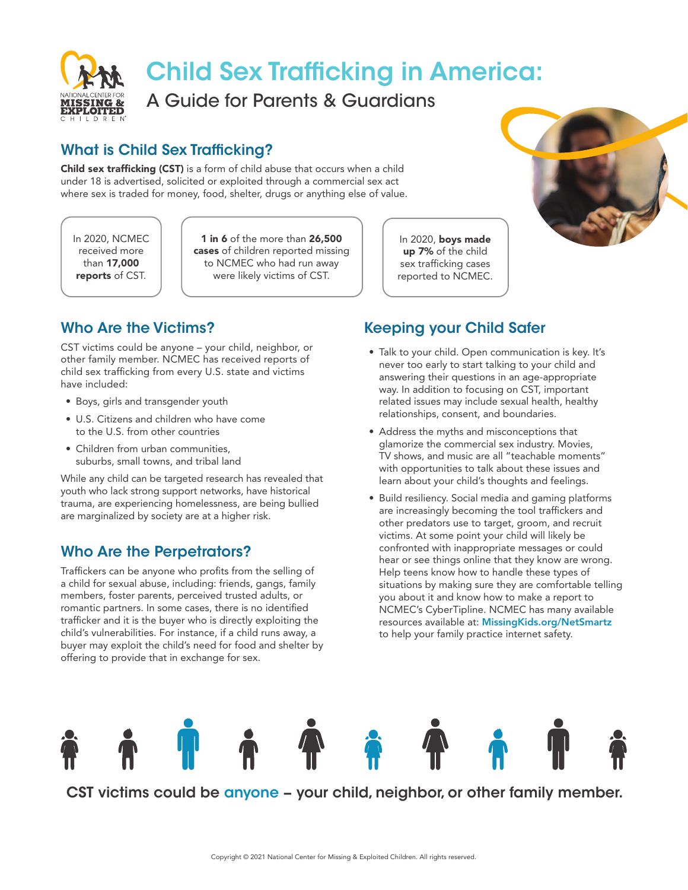

## Child Sex Trafficking in America:

A Guide for Parents & Guardians

## What is Child Sex Trafficking?

Child sex trafficking (CST) is a form of child abuse that occurs when a child under 18 is advertised, solicited or exploited through a commercial sex act where sex is traded for money, food, shelter, drugs or anything else of value.

In 2020, NCMEC received more than 17,000 reports of CST.

1 in 6 of the more than 26.500 cases of children reported missing to NCMEC who had run away were likely victims of CST.

Who Are the Victims?

CST victims could be anyone – your child, neighbor, or other family member. NCMEC has received reports of child sex trafficking from every U.S. state and victims have included:

- Boys, girls and transgender youth
- U.S. Citizens and children who have come to the U.S. from other countries
- Children from urban communities. suburbs, small towns, and tribal land

While any child can be targeted research has revealed that youth who lack strong support networks, have historical trauma, are experiencing homelessness, are being bullied are marginalized by society are at a higher risk.

## Who Are the Perpetrators?

Traffickers can be anyone who profits from the selling of a child for sexual abuse, including: friends, gangs, family members, foster parents, perceived trusted adults, or romantic partners. In some cases, there is no identified trafficker and it is the buyer who is directly exploiting the child's vulnerabilities. For instance, if a child runs away, a buyer may exploit the child's need for food and shelter by offering to provide that in exchange for sex.

In 2020, boys made up 7% of the child sex trafficking cases reported to NCMEC.



Keeping your Child Safer

- Talk to your child. Open communication is key. It's never too early to start talking to your child and answering their questions in an age-appropriate way. In addition to focusing on CST, important related issues may include sexual health, healthy relationships, consent, and boundaries.
- Address the myths and misconceptions that glamorize the commercial sex industry. Movies, TV shows, and music are all "teachable moments" with opportunities to talk about these issues and learn about your child's thoughts and feelings.
- Build resiliency. Social media and gaming platforms are increasingly becoming the tool traffickers and other predators use to target, groom, and recruit victims. At some point your child will likely be confronted with inappropriate messages or could hear or see things online that they know are wrong. Help teens know how to handle these types of situations by making sure they are comfortable telling you about it and know how to make a report to NCMEC's CyberTipline. NCMEC has many available resources available at: [MissingKids.org/NetSmartz](https://www.missingkids.org/netsmartz) to help your family practice internet safety.



CST victims could be anyone – your child, neighbor, or other family member.